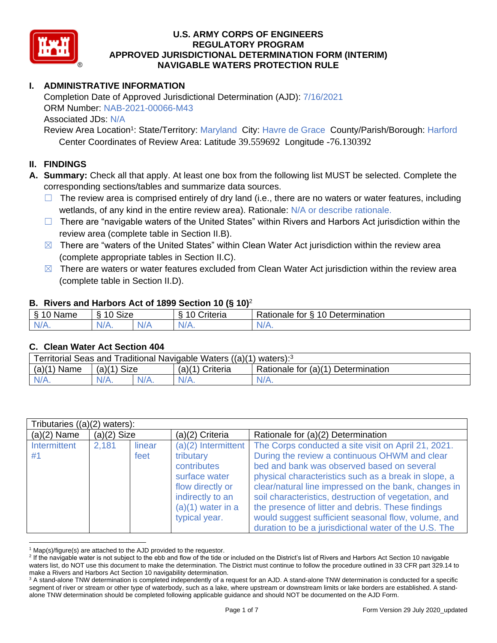

# **I. ADMINISTRATIVE INFORMATION**

Completion Date of Approved Jurisdictional Determination (AJD): 7/16/2021 ORM Number: NAB-2021-00066-M43 Associated JDs: N/A

Review Area Location<sup>1</sup>: State/Territory: Maryland City: Havre de Grace County/Parish/Borough: Harford Center Coordinates of Review Area: Latitude 39.559692 Longitude -76.130392

#### **II. FINDINGS**

- **A. Summary:** Check all that apply. At least one box from the following list MUST be selected. Complete the corresponding sections/tables and summarize data sources.
	- $\Box$  The review area is comprised entirely of dry land (i.e., there are no waters or water features, including wetlands, of any kind in the entire review area). Rationale: N/A or describe rationale.
	- $\Box$  There are "navigable waters of the United States" within Rivers and Harbors Act jurisdiction within the review area (complete table in Section II.B).
	- $\boxtimes$  There are "waters of the United States" within Clean Water Act jurisdiction within the review area (complete appropriate tables in Section II.C).
	- $\boxtimes$  There are waters or water features excluded from Clean Water Act jurisdiction within the review area (complete table in Section II.D).

### **B. Rivers and Harbors Act of 1899 Section 10 (§ 10)**<sup>2</sup>

| δ.<br>$\sim$<br>Name<br>u<br>$\cdot$ | Size<br>$\sim$<br>-<br>c |              | $\overline{ }$<br>`rıteria<br>`` | 10 Determination<br>⊀atıonale<br>tor |
|--------------------------------------|--------------------------|--------------|----------------------------------|--------------------------------------|
| N/A.                                 | $N_{\ell}$               | `N/ <i>F</i> | N/A.                             | N<br>w// v.                          |

#### **C. Clean Water Act Section 404**

| <b>Territorial Seas and</b><br>Traditional Navigable Waters ((a)(1)<br>waters): <sup>3</sup> |                                   |         |                                |                                    |  |
|----------------------------------------------------------------------------------------------|-----------------------------------|---------|--------------------------------|------------------------------------|--|
| $(a)$ $(1)$<br>Name                                                                          | <b>Size</b><br>(a)( <sup>1`</sup> |         | (a)(1 <sup>\</sup><br>Criteria | Rationale for (a)(1) Determination |  |
| $N/A$ .                                                                                      | $N/A$ .                           | $N/A$ . | $N/A$ .                        | $N/A$ .                            |  |

| Tributaries $((a)(2)$ waters): |               |                |                                                                                                                                                    |                                                                                                                                                                                                                                                                                                                                                                                                                                                                                                 |  |  |
|--------------------------------|---------------|----------------|----------------------------------------------------------------------------------------------------------------------------------------------------|-------------------------------------------------------------------------------------------------------------------------------------------------------------------------------------------------------------------------------------------------------------------------------------------------------------------------------------------------------------------------------------------------------------------------------------------------------------------------------------------------|--|--|
| $(a)(2)$ Name                  | $(a)(2)$ Size |                | (a)(2) Criteria                                                                                                                                    | Rationale for (a)(2) Determination                                                                                                                                                                                                                                                                                                                                                                                                                                                              |  |  |
| Intermittent<br>#1             | 2,181         | linear<br>feet | $(a)(2)$ Intermittent<br>tributary<br>contributes<br>surface water<br>flow directly or<br>indirectly to an<br>$(a)(1)$ water in a<br>typical year. | The Corps conducted a site visit on April 21, 2021.<br>During the review a continuous OHWM and clear<br>bed and bank was observed based on several<br>physical characteristics such as a break in slope, a<br>clear/natural line impressed on the bank, changes in<br>soil characteristics, destruction of vegetation, and<br>the presence of litter and debris. These findings<br>would suggest sufficient seasonal flow, volume, and<br>duration to be a jurisdictional water of the U.S. The |  |  |

 $1$  Map(s)/figure(s) are attached to the AJD provided to the requestor.

<sup>&</sup>lt;sup>2</sup> If the navigable water is not subject to the ebb and flow of the tide or included on the District's list of Rivers and Harbors Act Section 10 navigable waters list, do NOT use this document to make the determination. The District must continue to follow the procedure outlined in 33 CFR part 329.14 to make a Rivers and Harbors Act Section 10 navigability determination.

<sup>&</sup>lt;sup>3</sup> A stand-alone TNW determination is completed independently of a request for an AJD. A stand-alone TNW determination is conducted for a specific segment of river or stream or other type of waterbody, such as a lake, where upstream or downstream limits or lake borders are established. A standalone TNW determination should be completed following applicable guidance and should NOT be documented on the AJD Form.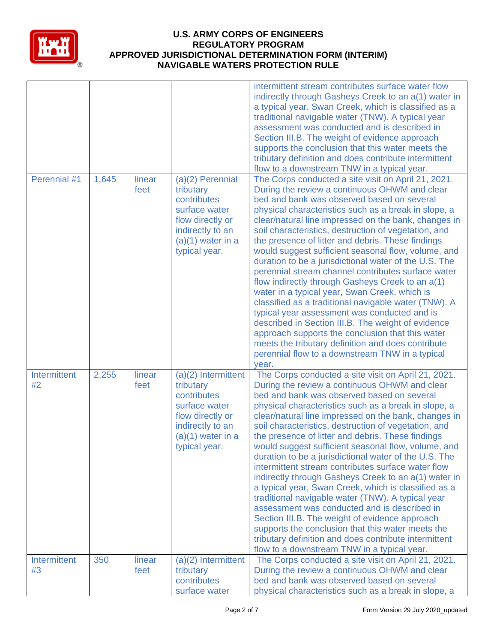

|                    |       |                |                                                                                                                                                    | intermittent stream contributes surface water flow<br>indirectly through Gasheys Creek to an a(1) water in<br>a typical year, Swan Creek, which is classified as a<br>traditional navigable water (TNW). A typical year<br>assessment was conducted and is described in<br>Section III.B. The weight of evidence approach<br>supports the conclusion that this water meets the<br>tributary definition and does contribute intermittent<br>flow to a downstream TNW in a typical year.                                                                                                                                                                                                                                                                                                                                                                                                                                                                                                         |
|--------------------|-------|----------------|----------------------------------------------------------------------------------------------------------------------------------------------------|------------------------------------------------------------------------------------------------------------------------------------------------------------------------------------------------------------------------------------------------------------------------------------------------------------------------------------------------------------------------------------------------------------------------------------------------------------------------------------------------------------------------------------------------------------------------------------------------------------------------------------------------------------------------------------------------------------------------------------------------------------------------------------------------------------------------------------------------------------------------------------------------------------------------------------------------------------------------------------------------|
| Perennial #1       | 1,645 | linear<br>feet | (a)(2) Perennial<br>tributary<br>contributes<br>surface water<br>flow directly or<br>indirectly to an<br>$(a)(1)$ water in a<br>typical year.      | The Corps conducted a site visit on April 21, 2021.<br>During the review a continuous OHWM and clear<br>bed and bank was observed based on several<br>physical characteristics such as a break in slope, a<br>clear/natural line impressed on the bank, changes in<br>soil characteristics, destruction of vegetation, and<br>the presence of litter and debris. These findings<br>would suggest sufficient seasonal flow, volume, and<br>duration to be a jurisdictional water of the U.S. The<br>perennial stream channel contributes surface water<br>flow indirectly through Gasheys Creek to an a(1)<br>water in a typical year, Swan Creek, which is<br>classified as a traditional navigable water (TNW). A<br>typical year assessment was conducted and is<br>described in Section III.B. The weight of evidence<br>approach supports the conclusion that this water<br>meets the tributary definition and does contribute<br>perennial flow to a downstream TNW in a typical<br>year. |
| Intermittent<br>#2 | 2,255 | linear<br>feet | $(a)(2)$ Intermittent<br>tributary<br>contributes<br>surface water<br>flow directly or<br>indirectly to an<br>$(a)(1)$ water in a<br>typical year. | The Corps conducted a site visit on April 21, 2021.<br>During the review a continuous OHWM and clear<br>bed and bank was observed based on several<br>physical characteristics such as a break in slope, a<br>clear/natural line impressed on the bank, changes in<br>soil characteristics, destruction of vegetation, and<br>the presence of litter and debris. These findings<br>would suggest sufficient seasonal flow, volume, and<br>duration to be a jurisdictional water of the U.S. The<br>intermittent stream contributes surface water flow<br>indirectly through Gasheys Creek to an a(1) water in<br>a typical year, Swan Creek, which is classified as a<br>traditional navigable water (TNW). A typical year<br>assessment was conducted and is described in<br>Section III.B. The weight of evidence approach<br>supports the conclusion that this water meets the<br>tributary definition and does contribute intermittent<br>flow to a downstream TNW in a typical year.      |
| Intermittent<br>#3 | 350   | linear<br>feet | $(a)(2)$ Intermittent<br>tributary<br>contributes<br>surface water                                                                                 | The Corps conducted a site visit on April 21, 2021.<br>During the review a continuous OHWM and clear<br>bed and bank was observed based on several<br>physical characteristics such as a break in slope, a                                                                                                                                                                                                                                                                                                                                                                                                                                                                                                                                                                                                                                                                                                                                                                                     |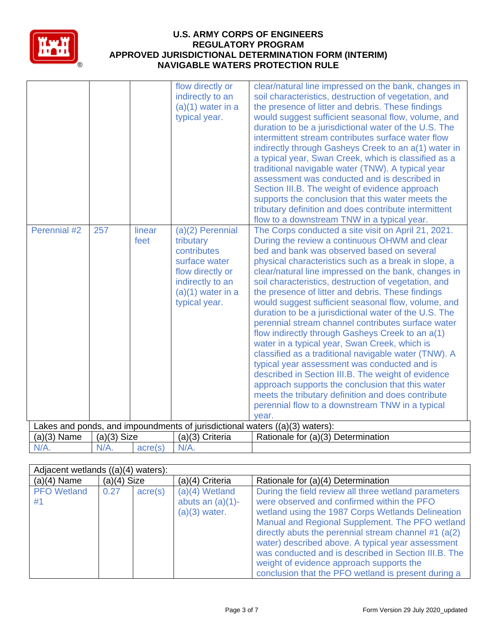

| Perennial #2  | 257           | linear<br>feet | flow directly or<br>indirectly to an<br>$(a)(1)$ water in a<br>typical year.<br>$(a)(2)$ Perennial<br>tributary<br>contributes | clear/natural line impressed on the bank, changes in<br>soil characteristics, destruction of vegetation, and<br>the presence of litter and debris. These findings<br>would suggest sufficient seasonal flow, volume, and<br>duration to be a jurisdictional water of the U.S. The<br>intermittent stream contributes surface water flow<br>indirectly through Gasheys Creek to an a(1) water in<br>a typical year, Swan Creek, which is classified as a<br>traditional navigable water (TNW). A typical year<br>assessment was conducted and is described in<br>Section III.B. The weight of evidence approach<br>supports the conclusion that this water meets the<br>tributary definition and does contribute intermittent<br>flow to a downstream TNW in a typical year.<br>The Corps conducted a site visit on April 21, 2021.<br>During the review a continuous OHWM and clear<br>bed and bank was observed based on several |
|---------------|---------------|----------------|--------------------------------------------------------------------------------------------------------------------------------|-----------------------------------------------------------------------------------------------------------------------------------------------------------------------------------------------------------------------------------------------------------------------------------------------------------------------------------------------------------------------------------------------------------------------------------------------------------------------------------------------------------------------------------------------------------------------------------------------------------------------------------------------------------------------------------------------------------------------------------------------------------------------------------------------------------------------------------------------------------------------------------------------------------------------------------|
|               |               |                | surface water<br>flow directly or<br>indirectly to an<br>$(a)(1)$ water in a<br>typical year.                                  | physical characteristics such as a break in slope, a<br>clear/natural line impressed on the bank, changes in<br>soil characteristics, destruction of vegetation, and<br>the presence of litter and debris. These findings<br>would suggest sufficient seasonal flow, volume, and<br>duration to be a jurisdictional water of the U.S. The<br>perennial stream channel contributes surface water<br>flow indirectly through Gasheys Creek to an a(1)<br>water in a typical year, Swan Creek, which is<br>classified as a traditional navigable water (TNW). A<br>typical year assessment was conducted and is<br>described in Section III.B. The weight of evidence<br>approach supports the conclusion that this water                                                                                                                                                                                                            |
|               |               |                |                                                                                                                                | meets the tributary definition and does contribute<br>perennial flow to a downstream TNW in a typical<br>vear.                                                                                                                                                                                                                                                                                                                                                                                                                                                                                                                                                                                                                                                                                                                                                                                                                    |
|               |               |                |                                                                                                                                | Lakes and ponds, and impoundments of jurisdictional waters $((a)(3)$ waters):                                                                                                                                                                                                                                                                                                                                                                                                                                                                                                                                                                                                                                                                                                                                                                                                                                                     |
| $(a)(3)$ Name | $(a)(3)$ Size |                | (a)(3) Criteria                                                                                                                | Rationale for (a)(3) Determination                                                                                                                                                                                                                                                                                                                                                                                                                                                                                                                                                                                                                                                                                                                                                                                                                                                                                                |
| N/A.          | N/A.          | acre(s)        | N/A.                                                                                                                           |                                                                                                                                                                                                                                                                                                                                                                                                                                                                                                                                                                                                                                                                                                                                                                                                                                                                                                                                   |

|                          | Adjacent wetlands ((a)(4) waters): |         |                                                            |                                                                                                                                                                                                                                                                                                                                                                                                                                                                                       |  |  |  |
|--------------------------|------------------------------------|---------|------------------------------------------------------------|---------------------------------------------------------------------------------------------------------------------------------------------------------------------------------------------------------------------------------------------------------------------------------------------------------------------------------------------------------------------------------------------------------------------------------------------------------------------------------------|--|--|--|
| $(a)(4)$ Name            | $(a)(4)$ Size                      |         | (a)(4) Criteria                                            | Rationale for (a)(4) Determination                                                                                                                                                                                                                                                                                                                                                                                                                                                    |  |  |  |
| <b>PFO</b> Wetland<br>#1 | 0.27                               | acre(s) | $(a)(4)$ Wetland<br>abuts an $(a)(1)$ -<br>$(a)(3)$ water. | During the field review all three wetland parameters<br>were observed and confirmed within the PFO<br>wetland using the 1987 Corps Wetlands Delineation<br>Manual and Regional Supplement. The PFO wetland<br>directly abuts the perennial stream channel #1 $(a(2))$<br>water) described above. A typical year assessment<br>was conducted and is described in Section III.B. The<br>weight of evidence approach supports the<br>conclusion that the PFO wetland is present during a |  |  |  |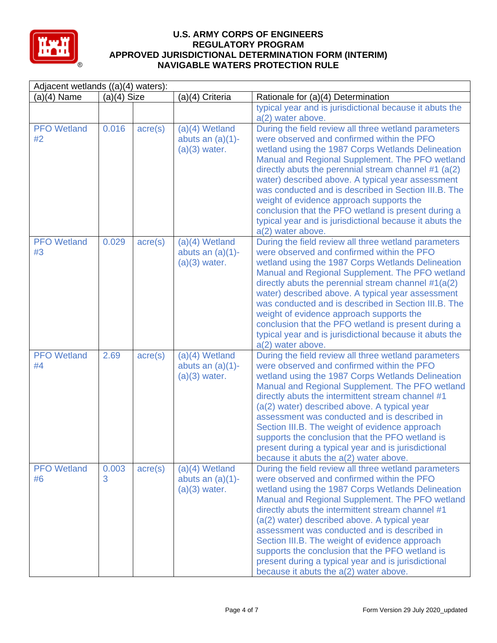

| Adjacent wetlands ((a)(4) waters): |               |                  |                                                            |                                                                                                                                                                                                                                                                                                                                                                                                                                                                                                                                                                       |  |
|------------------------------------|---------------|------------------|------------------------------------------------------------|-----------------------------------------------------------------------------------------------------------------------------------------------------------------------------------------------------------------------------------------------------------------------------------------------------------------------------------------------------------------------------------------------------------------------------------------------------------------------------------------------------------------------------------------------------------------------|--|
| $(a)(4)$ Name                      | $(a)(4)$ Size |                  | (a)(4) Criteria                                            | Rationale for (a)(4) Determination                                                                                                                                                                                                                                                                                                                                                                                                                                                                                                                                    |  |
|                                    |               |                  |                                                            | typical year and is jurisdictional because it abuts the<br>a(2) water above.                                                                                                                                                                                                                                                                                                                                                                                                                                                                                          |  |
| <b>PFO</b> Wetland<br>#2           | 0.016         | $\text{acre}(s)$ | $(a)(4)$ Wetland<br>abuts an $(a)(1)$ -<br>$(a)(3)$ water. | During the field review all three wetland parameters<br>were observed and confirmed within the PFO<br>wetland using the 1987 Corps Wetlands Delineation<br>Manual and Regional Supplement. The PFO wetland<br>directly abuts the perennial stream channel #1 (a(2)<br>water) described above. A typical year assessment<br>was conducted and is described in Section III.B. The<br>weight of evidence approach supports the<br>conclusion that the PFO wetland is present during a<br>typical year and is jurisdictional because it abuts the<br>a(2) water above.    |  |
| <b>PFO</b> Wetland<br>#3           | 0.029         | $\text{acre}(s)$ | $(a)(4)$ Wetland<br>abuts an $(a)(1)$ -<br>$(a)(3)$ water. | During the field review all three wetland parameters<br>were observed and confirmed within the PFO<br>wetland using the 1987 Corps Wetlands Delineation<br>Manual and Regional Supplement. The PFO wetland<br>directly abuts the perennial stream channel $#1(a(2))$<br>water) described above. A typical year assessment<br>was conducted and is described in Section III.B. The<br>weight of evidence approach supports the<br>conclusion that the PFO wetland is present during a<br>typical year and is jurisdictional because it abuts the<br>a(2) water above.  |  |
| <b>PFO</b> Wetland<br>#4           | 2.69          | $\text{acre}(s)$ | $(a)(4)$ Wetland<br>abuts an $(a)(1)$ -<br>$(a)(3)$ water. | During the field review all three wetland parameters<br>were observed and confirmed within the PFO<br>wetland using the 1987 Corps Wetlands Delineation<br>Manual and Regional Supplement. The PFO wetland<br>directly abuts the intermittent stream channel #1<br>(a(2) water) described above. A typical year<br>assessment was conducted and is described in<br>Section III.B. The weight of evidence approach<br>supports the conclusion that the PFO wetland is<br>present during a typical year and is jurisdictional<br>because it abuts the a(2) water above. |  |
| <b>PFO</b> Wetland<br>#6           | 0.003<br>3    | $\text{acre}(s)$ | $(a)(4)$ Wetland<br>abuts an $(a)(1)$ -<br>$(a)(3)$ water. | During the field review all three wetland parameters<br>were observed and confirmed within the PFO<br>wetland using the 1987 Corps Wetlands Delineation<br>Manual and Regional Supplement. The PFO wetland<br>directly abuts the intermittent stream channel #1<br>(a(2) water) described above. A typical year<br>assessment was conducted and is described in<br>Section III.B. The weight of evidence approach<br>supports the conclusion that the PFO wetland is<br>present during a typical year and is jurisdictional<br>because it abuts the a(2) water above. |  |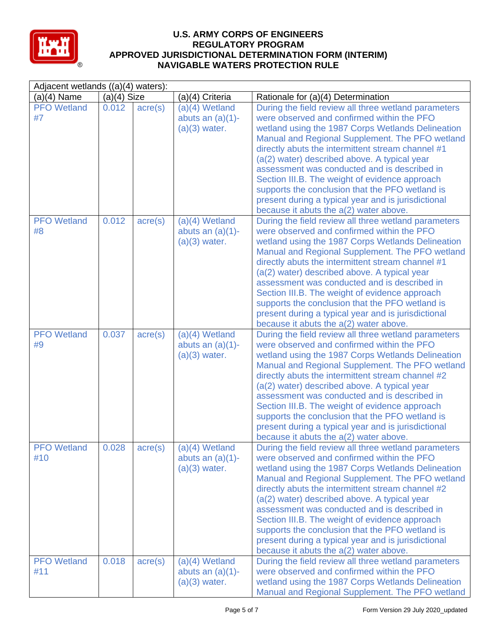

| Adjacent wetlands $((a)(4)$ waters): |               |                  |                                                            |                                                                                                                                                                                                                                                                                                                                                                                                                                                                                                                                                                       |  |
|--------------------------------------|---------------|------------------|------------------------------------------------------------|-----------------------------------------------------------------------------------------------------------------------------------------------------------------------------------------------------------------------------------------------------------------------------------------------------------------------------------------------------------------------------------------------------------------------------------------------------------------------------------------------------------------------------------------------------------------------|--|
| $(a)(4)$ Name                        | $(a)(4)$ Size |                  | (a)(4) Criteria                                            | Rationale for (a)(4) Determination                                                                                                                                                                                                                                                                                                                                                                                                                                                                                                                                    |  |
| <b>PFO</b> Wetland<br>#7             | 0.012         | $\text{acre}(s)$ | $(a)(4)$ Wetland<br>abuts an $(a)(1)$ -<br>$(a)(3)$ water. | During the field review all three wetland parameters<br>were observed and confirmed within the PFO<br>wetland using the 1987 Corps Wetlands Delineation<br>Manual and Regional Supplement. The PFO wetland<br>directly abuts the intermittent stream channel #1<br>(a(2) water) described above. A typical year<br>assessment was conducted and is described in<br>Section III.B. The weight of evidence approach<br>supports the conclusion that the PFO wetland is<br>present during a typical year and is jurisdictional<br>because it abuts the a(2) water above. |  |
| <b>PFO</b> Wetland<br>#8             | 0.012         | $\text{acre}(s)$ | $(a)(4)$ Wetland<br>abuts an $(a)(1)$ -<br>$(a)(3)$ water. | During the field review all three wetland parameters<br>were observed and confirmed within the PFO<br>wetland using the 1987 Corps Wetlands Delineation<br>Manual and Regional Supplement. The PFO wetland<br>directly abuts the intermittent stream channel #1<br>(a(2) water) described above. A typical year<br>assessment was conducted and is described in<br>Section III.B. The weight of evidence approach<br>supports the conclusion that the PFO wetland is<br>present during a typical year and is jurisdictional<br>because it abuts the a(2) water above. |  |
| <b>PFO</b> Wetland<br>#9             | 0.037         | $\text{acre}(s)$ | $(a)(4)$ Wetland<br>abuts an $(a)(1)$ -<br>$(a)(3)$ water. | During the field review all three wetland parameters<br>were observed and confirmed within the PFO<br>wetland using the 1987 Corps Wetlands Delineation<br>Manual and Regional Supplement. The PFO wetland<br>directly abuts the intermittent stream channel #2<br>(a(2) water) described above. A typical year<br>assessment was conducted and is described in<br>Section III.B. The weight of evidence approach<br>supports the conclusion that the PFO wetland is<br>present during a typical year and is jurisdictional<br>because it abuts the a(2) water above. |  |
| <b>PFO</b> Wetland<br>#10            | 0.028         | $\text{acre}(s)$ | $(a)(4)$ Wetland<br>abuts an $(a)(1)$ -<br>$(a)(3)$ water. | During the field review all three wetland parameters<br>were observed and confirmed within the PFO<br>wetland using the 1987 Corps Wetlands Delineation<br>Manual and Regional Supplement. The PFO wetland<br>directly abuts the intermittent stream channel #2<br>(a(2) water) described above. A typical year<br>assessment was conducted and is described in<br>Section III.B. The weight of evidence approach<br>supports the conclusion that the PFO wetland is<br>present during a typical year and is jurisdictional<br>because it abuts the a(2) water above. |  |
| <b>PFO</b> Wetland<br>#11            | 0.018         | $\text{acre}(s)$ | $(a)(4)$ Wetland<br>abuts an $(a)(1)$ -<br>$(a)(3)$ water. | During the field review all three wetland parameters<br>were observed and confirmed within the PFO<br>wetland using the 1987 Corps Wetlands Delineation<br>Manual and Regional Supplement. The PFO wetland                                                                                                                                                                                                                                                                                                                                                            |  |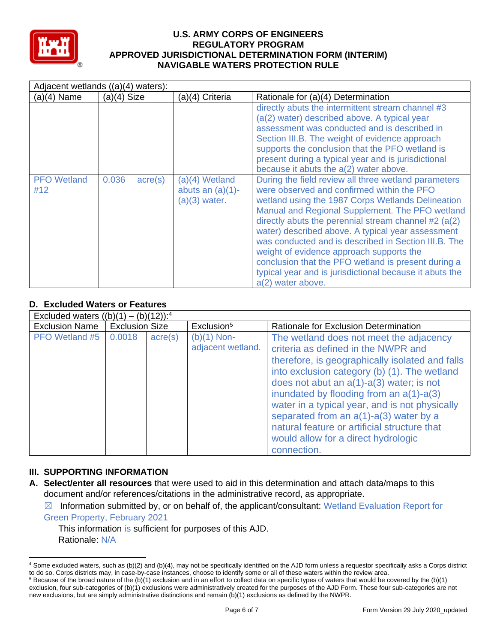

| Adjacent wetlands ((a)(4) waters): |               |                  |                                                          |                                                                                                                                                                                                                                                                                                                                                                                                                                                                                                                                                                                                                                                                                      |  |  |
|------------------------------------|---------------|------------------|----------------------------------------------------------|--------------------------------------------------------------------------------------------------------------------------------------------------------------------------------------------------------------------------------------------------------------------------------------------------------------------------------------------------------------------------------------------------------------------------------------------------------------------------------------------------------------------------------------------------------------------------------------------------------------------------------------------------------------------------------------|--|--|
| $(a)(4)$ Name                      | $(a)(4)$ Size |                  | (a)(4) Criteria                                          | Rationale for (a)(4) Determination                                                                                                                                                                                                                                                                                                                                                                                                                                                                                                                                                                                                                                                   |  |  |
| <b>PFO</b> Wetland<br>#12          | 0.036         | $\text{acre}(s)$ | (a)(4) Wetland<br>abuts an $(a)(1)$ -<br>$(a)(3)$ water. | directly abuts the intermittent stream channel #3<br>(a(2) water) described above. A typical year<br>assessment was conducted and is described in<br>Section III.B. The weight of evidence approach<br>supports the conclusion that the PFO wetland is<br>present during a typical year and is jurisdictional<br>because it abuts the a(2) water above.<br>During the field review all three wetland parameters<br>were observed and confirmed within the PFO<br>wetland using the 1987 Corps Wetlands Delineation<br>Manual and Regional Supplement. The PFO wetland<br>directly abuts the perennial stream channel $#2$ (a(2)<br>water) described above. A typical year assessment |  |  |
|                                    |               |                  |                                                          | was conducted and is described in Section III.B. The<br>weight of evidence approach supports the                                                                                                                                                                                                                                                                                                                                                                                                                                                                                                                                                                                     |  |  |
|                                    |               |                  |                                                          | conclusion that the PFO wetland is present during a<br>typical year and is jurisdictional because it abuts the<br>a(2) water above.                                                                                                                                                                                                                                                                                                                                                                                                                                                                                                                                                  |  |  |

# **D. Excluded Waters or Features**

| Excluded waters $((b)(1) - (b)(12))$ : <sup>4</sup> |                       |                  |                                    |                                                                                                                                                                                                                                                                                                                                                                                                                                                                                              |  |  |
|-----------------------------------------------------|-----------------------|------------------|------------------------------------|----------------------------------------------------------------------------------------------------------------------------------------------------------------------------------------------------------------------------------------------------------------------------------------------------------------------------------------------------------------------------------------------------------------------------------------------------------------------------------------------|--|--|
| <b>Exclusion Name</b>                               | <b>Exclusion Size</b> |                  | Exclusion <sup>5</sup>             | Rationale for Exclusion Determination                                                                                                                                                                                                                                                                                                                                                                                                                                                        |  |  |
| <b>PFO</b> Wetland #5                               | 0.0018                | $\text{acre}(s)$ | $(b)(1)$ Non-<br>adjacent wetland. | The wetland does not meet the adjacency<br>criteria as defined in the NWPR and<br>therefore, is geographically isolated and falls<br>into exclusion category (b) (1). The wetland<br>does not abut an $a(1)$ - $a(3)$ water; is not<br>inundated by flooding from an $a(1)$ - $a(3)$<br>water in a typical year, and is not physically<br>separated from an $a(1)$ - $a(3)$ water by a<br>natural feature or artificial structure that<br>would allow for a direct hydrologic<br>connection. |  |  |

## **III. SUPPORTING INFORMATION**

**A. Select/enter all resources** that were used to aid in this determination and attach data/maps to this document and/or references/citations in the administrative record, as appropriate.

 $\boxtimes$  Information submitted by, or on behalf of, the applicant/consultant: Wetland Evaluation Report for Green Property, February 2021

This information is sufficient for purposes of this AJD. Rationale: N/A

<sup>4</sup> Some excluded waters, such as (b)(2) and (b)(4), may not be specifically identified on the AJD form unless a requestor specifically asks a Corps district to do so. Corps districts may, in case-by-case instances, choose to identify some or all of these waters within the review area.

 $5$  Because of the broad nature of the (b)(1) exclusion and in an effort to collect data on specific types of waters that would be covered by the (b)(1) exclusion, four sub-categories of (b)(1) exclusions were administratively created for the purposes of the AJD Form. These four sub-categories are not new exclusions, but are simply administrative distinctions and remain (b)(1) exclusions as defined by the NWPR.